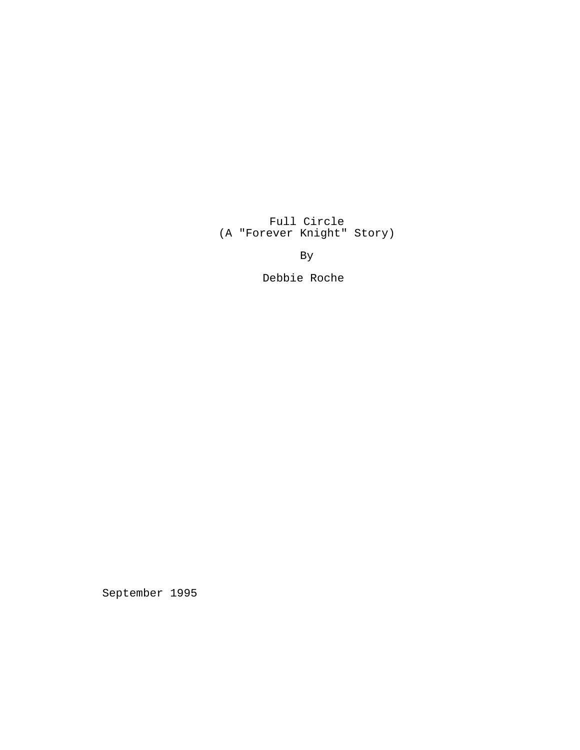Full Circle (A "Forever Knight" Story)

By

Debbie Roche

September 1995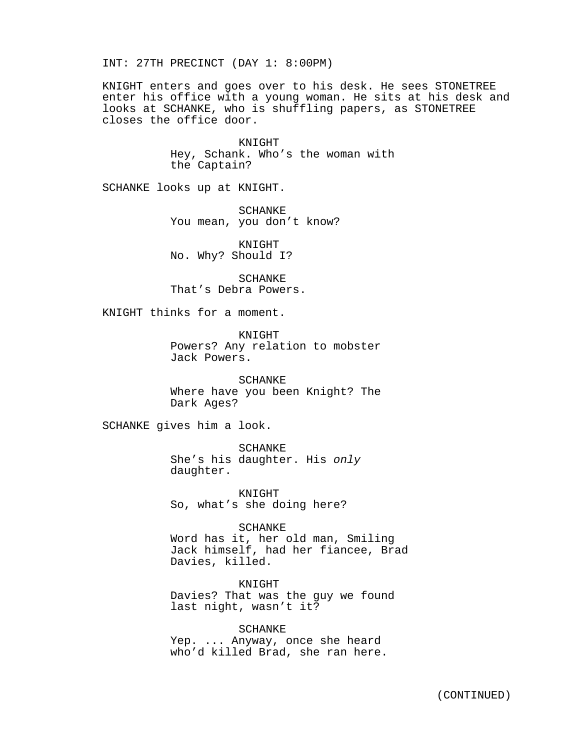INT: 27TH PRECINCT (DAY 1: 8:00PM)

KNIGHT enters and goes over to his desk. He sees STONETREE enter his office with a young woman. He sits at his desk and looks at SCHANKE, who is shuffling papers, as STONETREE closes the office door.

> KNIGHT Hey, Schank. Who's the woman with the Captain?

SCHANKE looks up at KNIGHT.

SCHANKE You mean, you don't know?

KNIGHT No. Why? Should I?

SCHANKE That's Debra Powers.

KNIGHT thinks for a moment.

KNIGHT Powers? Any relation to mobster Jack Powers.

SCHANKE Where have you been Knight? The Dark Ages?

SCHANKE gives him a look.

SCHANKE She's his daughter. His only daughter.

KNIGHT So, what's she doing here?

SCHANKE Word has it, her old man, Smiling Jack himself, had her fiancee, Brad Davies, killed.

KNIGHT Davies? That was the guy we found last night, wasn't it?

SCHANKE Yep. ... Anyway, once she heard who'd killed Brad, she ran here.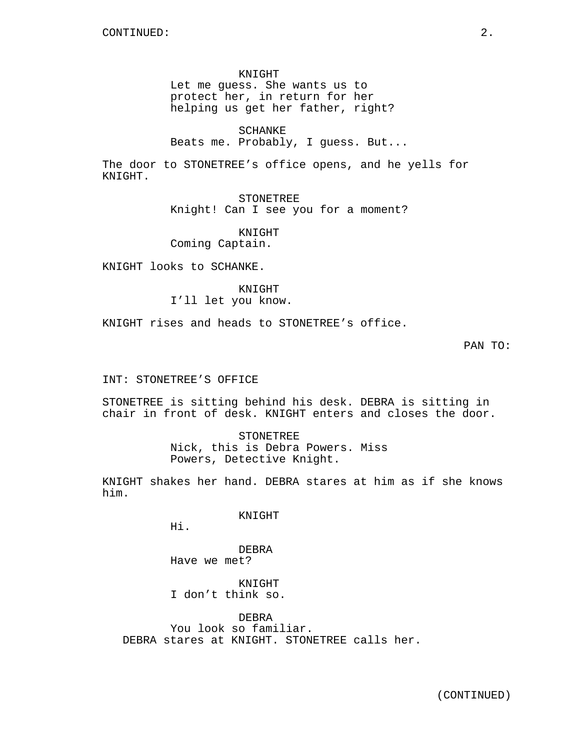KNIGHT

Let me guess. She wants us to protect her, in return for her helping us get her father, right?

SCHANKE

Beats me. Probably, I guess. But...

The door to STONETREE's office opens, and he yells for KNIGHT.

> STONETREE Knight! Can I see you for a moment?

KNIGHT Coming Captain.

KNIGHT looks to SCHANKE.

## KNIGHT

I'll let you know.

KNIGHT rises and heads to STONETREE's office.

PAN TO:

INT: STONETREE'S OFFICE

STONETREE is sitting behind his desk. DEBRA is sitting in chair in front of desk. KNIGHT enters and closes the door.

> STONETREE Nick, this is Debra Powers. Miss Powers, Detective Knight.

KNIGHT shakes her hand. DEBRA stares at him as if she knows him.

KNIGHT

Hi.

DEBRA Have we met?

KNIGHT I don't think so.

DEBRA You look so familiar. DEBRA stares at KNIGHT. STONETREE calls her.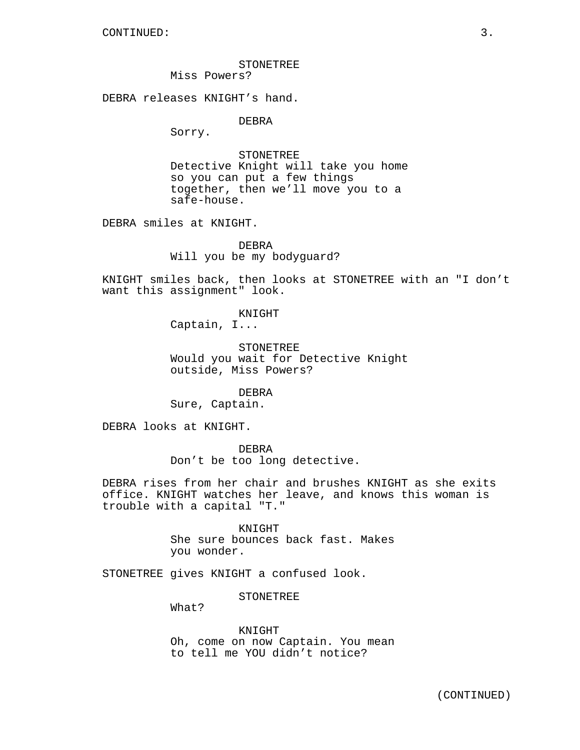STONETREE

Miss Powers?

DEBRA releases KNIGHT's hand.

DEBRA

Sorry.

**STONETREE** Detective Knight will take you home so you can put a few things together, then we'll move you to a safe-house.

DEBRA smiles at KNIGHT.

DEBRA Will you be my bodyguard?

KNIGHT smiles back, then looks at STONETREE with an "I don't want this assignment" look.

> KNIGHT Captain, I...

**STONETREE** Would you wait for Detective Knight outside, Miss Powers?

DEBRA Sure, Captain.

DEBRA looks at KNIGHT.

DEBRA

Don't be too long detective.

DEBRA rises from her chair and brushes KNIGHT as she exits office. KNIGHT watches her leave, and knows this woman is trouble with a capital "T."

> KNIGHT She sure bounces back fast. Makes you wonder.

STONETREE gives KNIGHT a confused look.

STONETREE

What?

KNIGHT Oh, come on now Captain. You mean to tell me YOU didn't notice?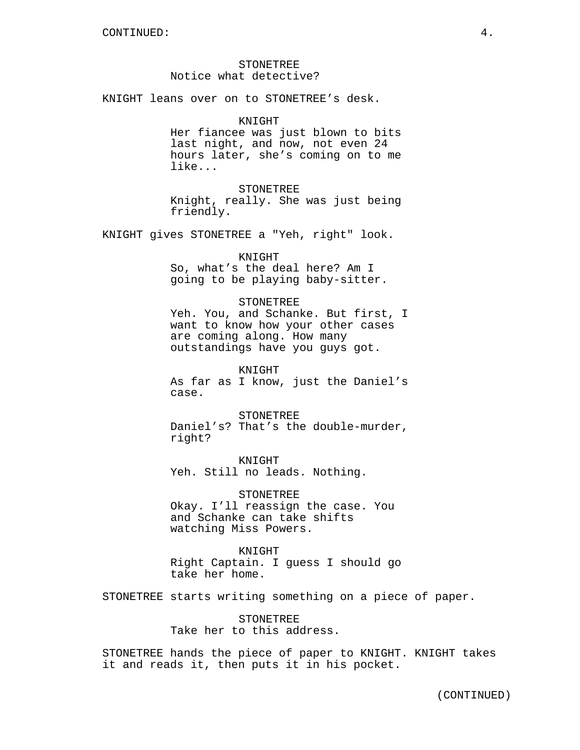# STONETREE Notice what detective?

KNIGHT leans over on to STONETREE's desk.

## KNIGHT

Her fiancee was just blown to bits last night, and now, not even 24 hours later, she's coming on to me like...

STONETREE

Knight, really. She was just being friendly.

KNIGHT gives STONETREE a "Yeh, right" look.

## KNIGHT

So, what's the deal here? Am I going to be playing baby-sitter.

# STONETREE

Yeh. You, and Schanke. But first, I want to know how your other cases are coming along. How many outstandings have you guys got.

KNIGHT As far as I know, just the Daniel's case.

STONETREE Daniel's? That's the double-murder, right?

KNIGHT Yeh. Still no leads. Nothing.

STONETREE Okay. I'll reassign the case. You and Schanke can take shifts watching Miss Powers.

KNIGHT Right Captain. I guess I should go take her home.

STONETREE starts writing something on a piece of paper.

STONETREE Take her to this address.

STONETREE hands the piece of paper to KNIGHT. KNIGHT takes it and reads it, then puts it in his pocket.

(CONTINUED)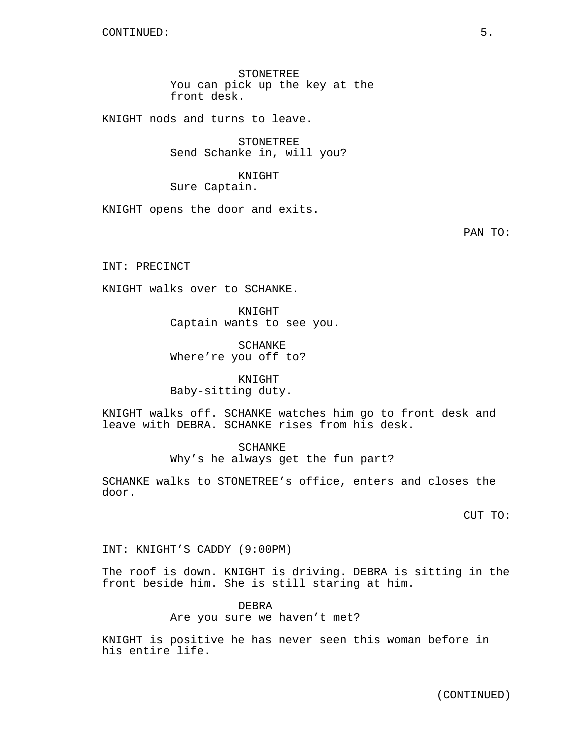STONETREE You can pick up the key at the front desk.

KNIGHT nods and turns to leave.

STONETREE Send Schanke in, will you?

KNIGHT Sure Captain.

KNIGHT opens the door and exits.

PAN TO:

INT: PRECINCT

KNIGHT walks over to SCHANKE.

KNIGHT Captain wants to see you.

SCHANKE Where're you off to?

KNIGHT Baby-sitting duty.

KNIGHT walks off. SCHANKE watches him go to front desk and leave with DEBRA. SCHANKE rises from his desk.

> SCHANKE Why's he always get the fun part?

SCHANKE walks to STONETREE's office, enters and closes the door.

CUT TO:

INT: KNIGHT'S CADDY (9:00PM)

The roof is down. KNIGHT is driving. DEBRA is sitting in the front beside him. She is still staring at him.

> DEBRA Are you sure we haven't met?

KNIGHT is positive he has never seen this woman before in his entire life.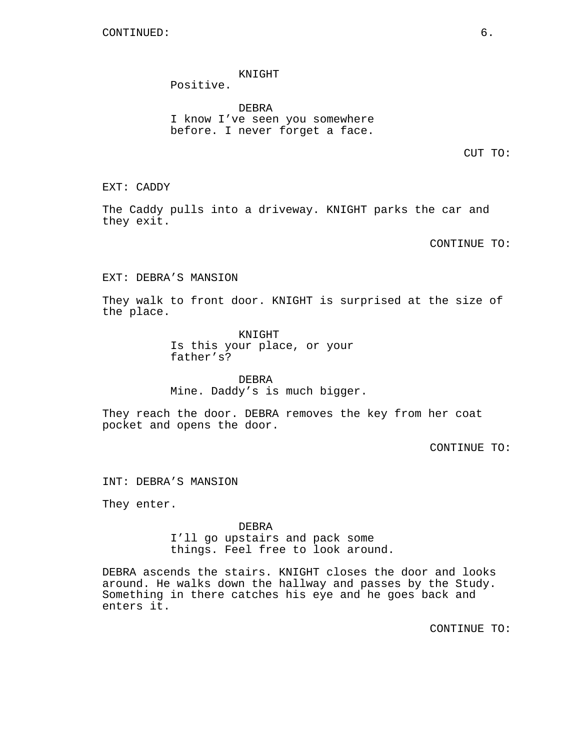# KNIGHT

Positive.

DEBRA I know I've seen you somewhere before. I never forget a face.

CUT TO:

EXT: CADDY

The Caddy pulls into a driveway. KNIGHT parks the car and they exit.

CONTINUE TO:

EXT: DEBRA'S MANSION

They walk to front door. KNIGHT is surprised at the size of the place.

> KNIGHT Is this your place, or your father's?

DEBRA Mine. Daddy's is much bigger.

They reach the door. DEBRA removes the key from her coat pocket and opens the door.

CONTINUE TO:

INT: DEBRA'S MANSION

They enter.

DEBRA I'll go upstairs and pack some things. Feel free to look around.

DEBRA ascends the stairs. KNIGHT closes the door and looks around. He walks down the hallway and passes by the Study. Something in there catches his eye and he goes back and enters it.

CONTINUE TO: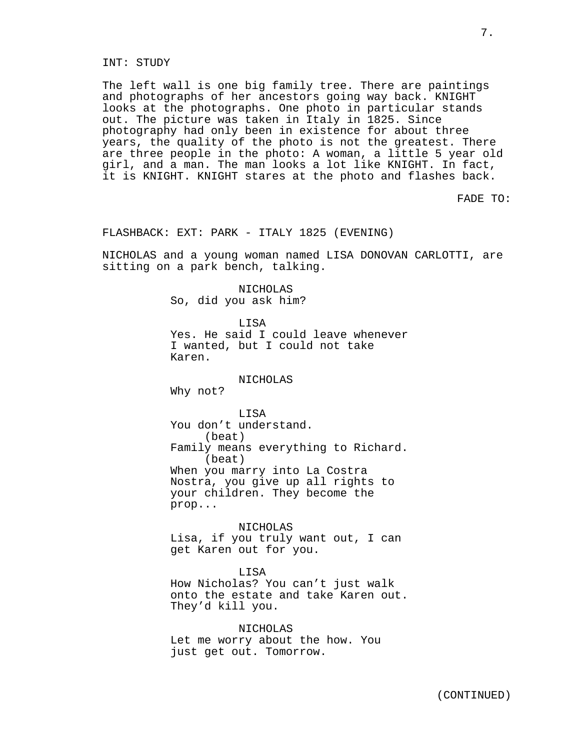# INT: STUDY

The left wall is one big family tree. There are paintings and photographs of her ancestors going way back. KNIGHT looks at the photographs. One photo in particular stands out. The picture was taken in Italy in 1825. Since photography had only been in existence for about three years, the quality of the photo is not the greatest. There are three people in the photo: A woman, a little 5 year old girl, and a man. The man looks a lot like KNIGHT. In fact, it is KNIGHT. KNIGHT stares at the photo and flashes back.

FADE TO:

7.

# FLASHBACK: EXT: PARK - ITALY 1825 (EVENING)

NICHOLAS and a young woman named LISA DONOVAN CARLOTTI, are sitting on a park bench, talking.

> NICHOLAS So, did you ask him?

> > **LISA**

Yes. He said I could leave whenever I wanted, but I could not take Karen.

# NICHOLAS

Why not?

LISA

You don't understand. (beat) Family means everything to Richard. (beat) When you marry into La Costra Nostra, you give up all rights to your children. They become the prop...

NICHOLAS Lisa, if you truly want out, I can get Karen out for you.

LISA How Nicholas? You can't just walk onto the estate and take Karen out. They'd kill you.

NICHOLAS Let me worry about the how. You just get out. Tomorrow.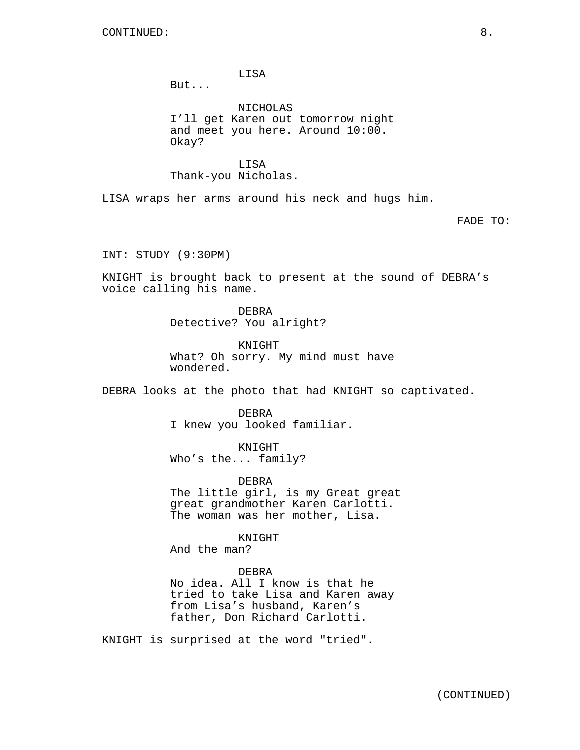LISA

But...

NICHOLAS I'll get Karen out tomorrow night and meet you here. Around 10:00. Okay?

LISA Thank-you Nicholas.

LISA wraps her arms around his neck and hugs him.

FADE TO:

INT: STUDY (9:30PM)

KNIGHT is brought back to present at the sound of DEBRA's voice calling his name.

> DEBRA Detective? You alright?

KNIGHT What? Oh sorry. My mind must have wondered.

DEBRA looks at the photo that had KNIGHT so captivated.

DEBRA I knew you looked familiar.

KNIGHT Who's the... family?

DEBRA

The little girl, is my Great great great grandmother Karen Carlotti. The woman was her mother, Lisa.

KNIGHT

And the man?

## DEBRA

No idea. All I know is that he tried to take Lisa and Karen away from Lisa's husband, Karen's father, Don Richard Carlotti.

KNIGHT is surprised at the word "tried".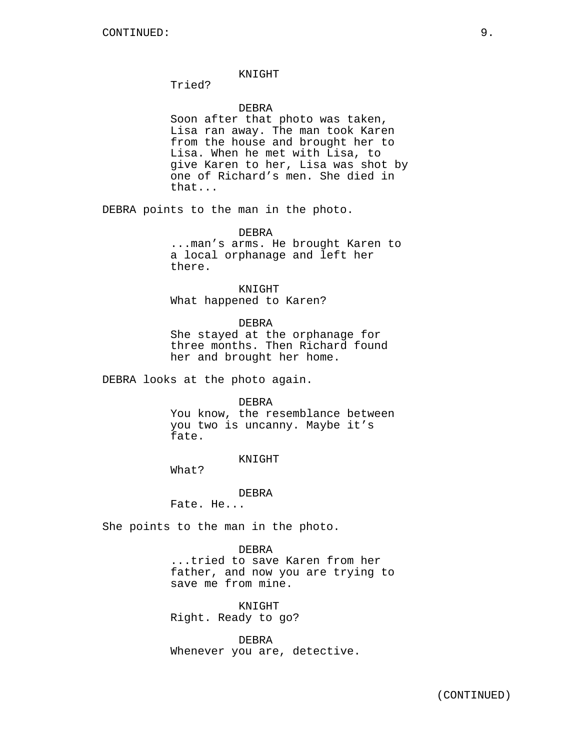# KNIGHT

Tried?

# DEBRA

Soon after that photo was taken, Lisa ran away. The man took Karen from the house and brought her to Lisa. When he met with Lisa, to give Karen to her, Lisa was shot by one of Richard's men. She died in that...

DEBRA points to the man in the photo.

#### DEBRA

...man's arms. He brought Karen to a local orphanage and left her there.

KNIGHT What happened to Karen?

DEBRA

She stayed at the orphanage for three months. Then Richard found her and brought her home.

DEBRA looks at the photo again.

DEBRA

You know, the resemblance between you two is uncanny. Maybe it's fate.

#### KNIGHT

What?

DEBRA

Fate. He...

She points to the man in the photo.

DEBRA ...tried to save Karen from her father, and now you are trying to save me from mine.

KNIGHT Right. Ready to go?

DEBRA Whenever you are, detective.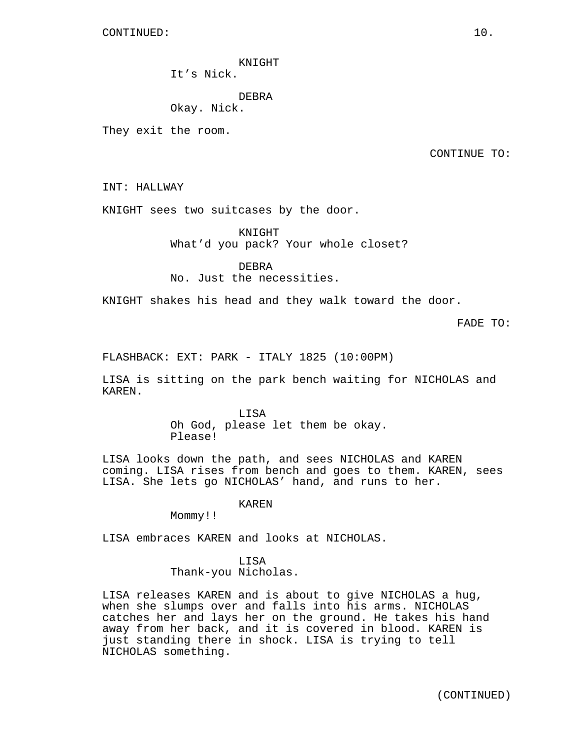KNIGHT

It's Nick.

DEBRA

Okay. Nick.

They exit the room.

CONTINUE TO:

INT: HALLWAY

KNIGHT sees two suitcases by the door.

KNIGHT What'd you pack? Your whole closet?

DEBRA No. Just the necessities.

KNIGHT shakes his head and they walk toward the door.

FADE TO:

FLASHBACK: EXT: PARK - ITALY 1825 (10:00PM)

LISA is sitting on the park bench waiting for NICHOLAS and KAREN.

> LISA Oh God, please let them be okay. Please!

LISA looks down the path, and sees NICHOLAS and KAREN coming. LISA rises from bench and goes to them. KAREN, sees LISA. She lets go NICHOLAS' hand, and runs to her.

KAREN

Mommy!!

LISA embraces KAREN and looks at NICHOLAS.

LISA Thank-you Nicholas.

LISA releases KAREN and is about to give NICHOLAS a hug, when she slumps over and falls into his arms. NICHOLAS catches her and lays her on the ground. He takes his hand away from her back, and it is covered in blood. KAREN is just standing there in shock. LISA is trying to tell NICHOLAS something.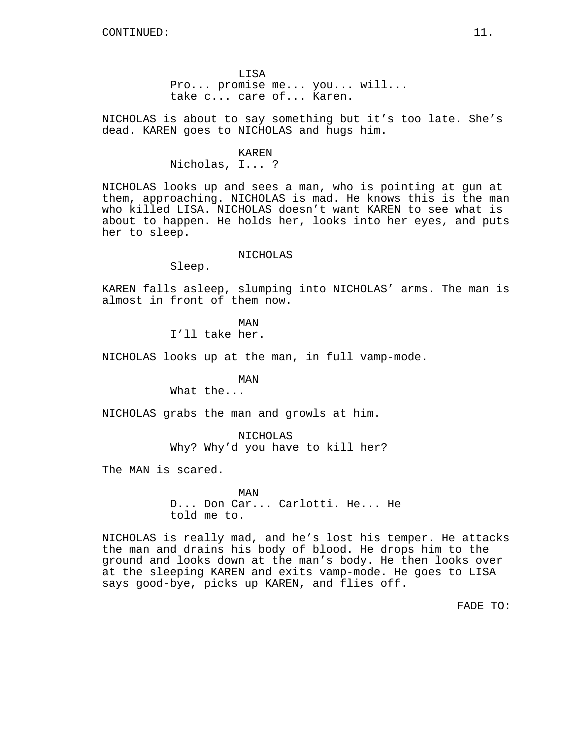LISA Pro... promise me... you... will... take c... care of... Karen.

NICHOLAS is about to say something but it's too late. She's dead. KAREN goes to NICHOLAS and hugs him.

#### KAREN

Nicholas, I... ?

NICHOLAS looks up and sees a man, who is pointing at gun at them, approaching. NICHOLAS is mad. He knows this is the man who killed LISA. NICHOLAS doesn't want KAREN to see what is about to happen. He holds her, looks into her eyes, and puts her to sleep.

## NICHOLAS

Sleep.

KAREN falls asleep, slumping into NICHOLAS' arms. The man is almost in front of them now.

> MAN I'll take her.

NICHOLAS looks up at the man, in full vamp-mode.

MAN

What the...

NICHOLAS grabs the man and growls at him.

NICHOLAS Why? Why'd you have to kill her?

The MAN is scared.

MAN D... Don Car... Carlotti. He... He told me to.

NICHOLAS is really mad, and he's lost his temper. He attacks the man and drains his body of blood. He drops him to the ground and looks down at the man's body. He then looks over at the sleeping KAREN and exits vamp-mode. He goes to LISA says good-bye, picks up KAREN, and flies off.

FADE TO: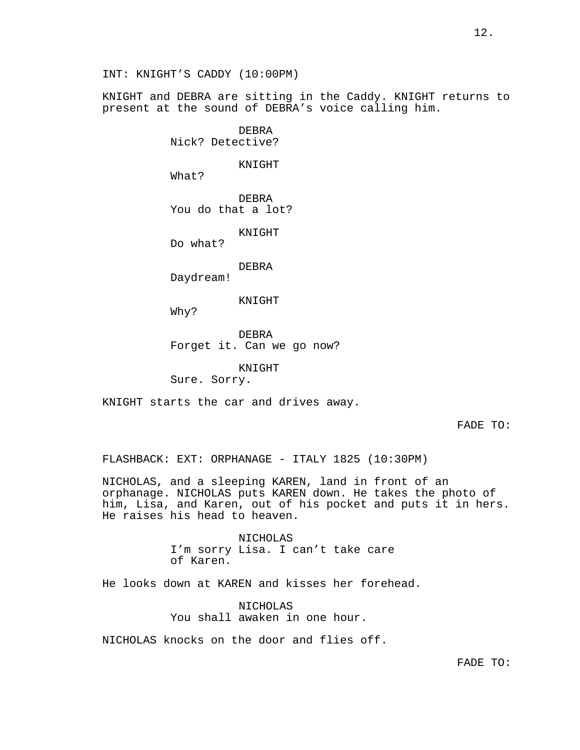INT: KNIGHT'S CADDY (10:00PM)

KNIGHT and DEBRA are sitting in the Caddy. KNIGHT returns to present at the sound of DEBRA's voice calling him.

> DEBRA Nick? Detective?

> > KNIGHT

What?

DEBRA You do that a lot?

KNIGHT

Do what?

DEBRA

Daydream!

KNIGHT

Why?

DEBRA Forget it. Can we go now?

KNIGHT

Sure. Sorry.

KNIGHT starts the car and drives away.

FADE TO:

FLASHBACK: EXT: ORPHANAGE - ITALY 1825 (10:30PM)

NICHOLAS, and a sleeping KAREN, land in front of an orphanage. NICHOLAS puts KAREN down. He takes the photo of him, Lisa, and Karen, out of his pocket and puts it in hers. He raises his head to heaven.

> NICHOLAS I'm sorry Lisa. I can't take care of Karen.

He looks down at KAREN and kisses her forehead.

NICHOLAS You shall awaken in one hour.

NICHOLAS knocks on the door and flies off.

FADE TO: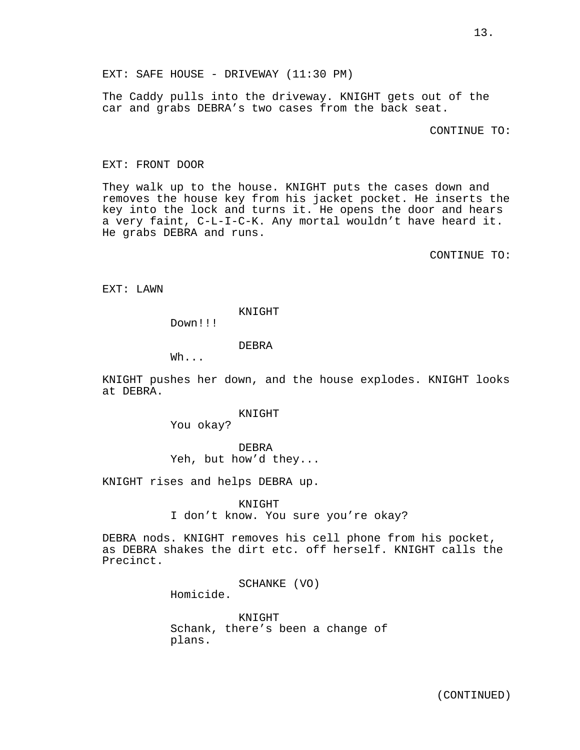EXT: SAFE HOUSE - DRIVEWAY (11:30 PM)

The Caddy pulls into the driveway. KNIGHT gets out of the car and grabs DEBRA's two cases from the back seat.

CONTINUE TO:

#### EXT: FRONT DOOR

They walk up to the house. KNIGHT puts the cases down and removes the house key from his jacket pocket. He inserts the key into the lock and turns it. He opens the door and hears a very faint, C-L-I-C-K. Any mortal wouldn't have heard it. He grabs DEBRA and runs.

CONTINUE TO:

EXT: LAWN

KNIGHT

Down!!!

DEBRA

Wh...

KNIGHT pushes her down, and the house explodes. KNIGHT looks at DEBRA.

## KNIGHT

You okay?

## DEBRA

Yeh, but how'd they...

KNIGHT rises and helps DEBRA up.

KNIGHT

I don't know. You sure you're okay?

DEBRA nods. KNIGHT removes his cell phone from his pocket, as DEBRA shakes the dirt etc. off herself. KNIGHT calls the Precinct.

SCHANKE (VO)

Homicide.

KNIGHT Schank, there's been a change of plans.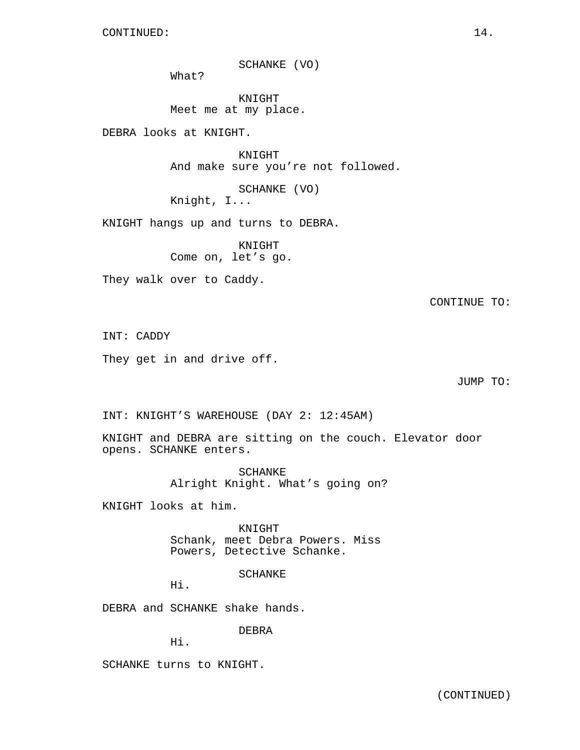SCHANKE (VO)

What?

KNIGHT Meet me at my place.

DEBRA looks at KNIGHT.

KNIGHT And make sure you're not followed.

SCHANKE (VO) Knight, I...

KNIGHT hangs up and turns to DEBRA.

KNIGHT Come on, let's go.

They walk over to Caddy.

CONTINUE TO:

INT: CADDY

They get in and drive off.

JUMP TO:

INT: KNIGHT'S WAREHOUSE (DAY 2: 12:45AM)

KNIGHT and DEBRA are sitting on the couch. Elevator door opens. SCHANKE enters.

> SCHANKE Alright Knight. What's going on?

KNIGHT looks at him.

KNIGHT Schank, meet Debra Powers. Miss Powers, Detective Schanke.

SCHANKE

Hi.

DEBRA and SCHANKE shake hands.

DEBRA

Hi.

SCHANKE turns to KNIGHT.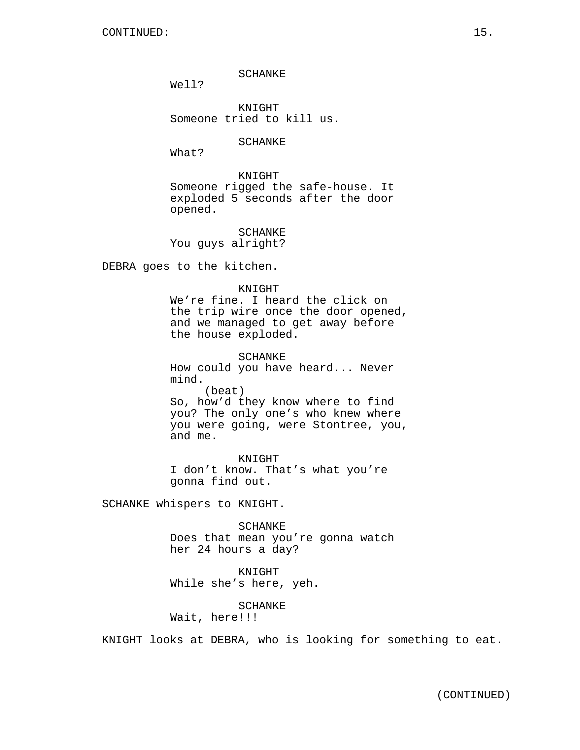SCHANKE

Well?

KNIGHT Someone tried to kill us.

SCHANKE

What?

KNIGHT Someone rigged the safe-house. It exploded 5 seconds after the door opened.

SCHANKE You guys alright?

DEBRA goes to the kitchen.

## KNIGHT

We're fine. I heard the click on the trip wire once the door opened, and we managed to get away before the house exploded.

SCHANKE How could you have heard... Never mind. (beat) So, how'd they know where to find you? The only one's who knew where you were going, were Stontree, you, and me.

KNIGHT I don't know. That's what you're gonna find out.

SCHANKE whispers to KNIGHT.

SCHANKE Does that mean you're gonna watch her 24 hours a day?

KNIGHT While she's here, yeh.

SCHANKE

Wait, here!!!

KNIGHT looks at DEBRA, who is looking for something to eat.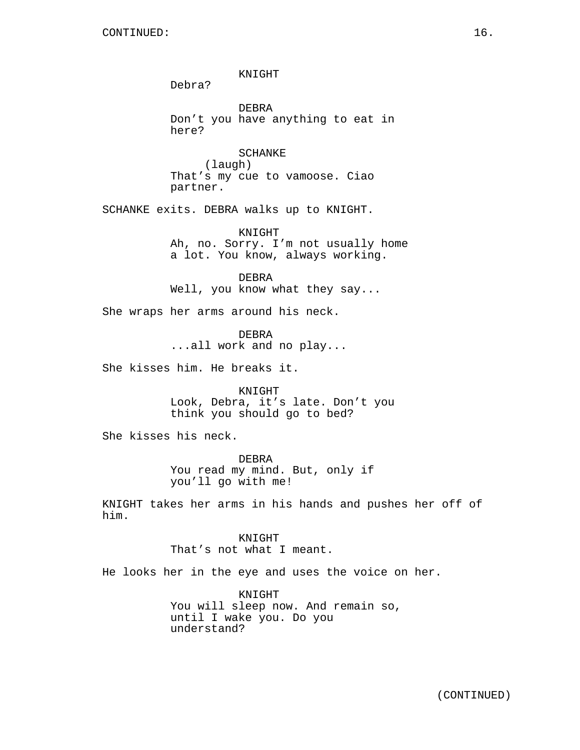KNIGHT Debra? DEBRA Don't you have anything to eat in here? SCHANKE (laugh) That's my cue to vamoose. Ciao partner. SCHANKE exits. DEBRA walks up to KNIGHT. KNIGHT Ah, no. Sorry. I'm not usually home a lot. You know, always working. DEBRA Well, you know what they say... She wraps her arms around his neck. DEBRA ...all work and no play... She kisses him. He breaks it. KNIGHT Look, Debra, it's late. Don't you think you should go to bed? She kisses his neck. DEBRA You read my mind. But, only if you'll go with me! KNIGHT takes her arms in his hands and pushes her off of him.

> KNIGHT That's not what I meant.

He looks her in the eye and uses the voice on her.

KNIGHT You will sleep now. And remain so, until I wake you. Do you understand?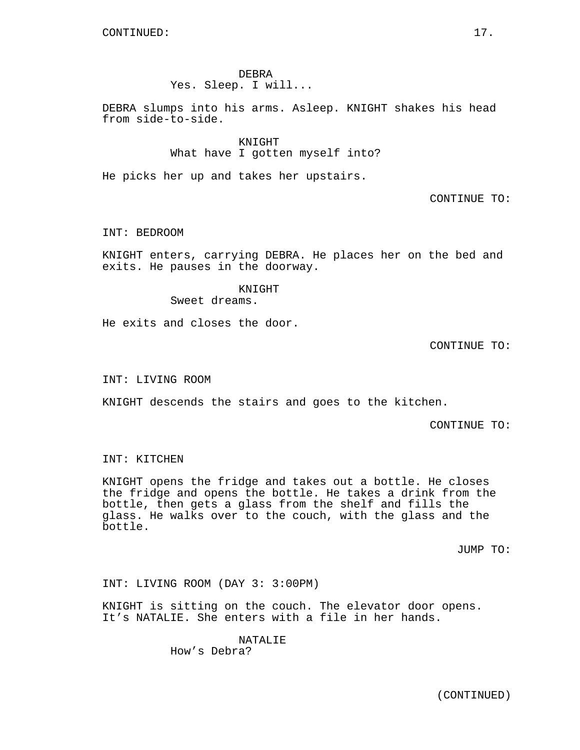DEBRA Yes. Sleep. I will...

DEBRA slumps into his arms. Asleep. KNIGHT shakes his head from side-to-side.

> KNIGHT What have I gotten myself into?

He picks her up and takes her upstairs.

CONTINUE TO:

INT: BEDROOM

KNIGHT enters, carrying DEBRA. He places her on the bed and exits. He pauses in the doorway.

> KNIGHT Sweet dreams.

He exits and closes the door.

CONTINUE TO:

INT: LIVING ROOM

KNIGHT descends the stairs and goes to the kitchen.

CONTINUE TO:

INT: KITCHEN

KNIGHT opens the fridge and takes out a bottle. He closes the fridge and opens the bottle. He takes a drink from the bottle, then gets a glass from the shelf and fills the glass. He walks over to the couch, with the glass and the bottle.

JUMP TO:

INT: LIVING ROOM (DAY 3: 3:00PM)

KNIGHT is sitting on the couch. The elevator door opens. It's NATALIE. She enters with a file in her hands.

> NATALIE How's Debra?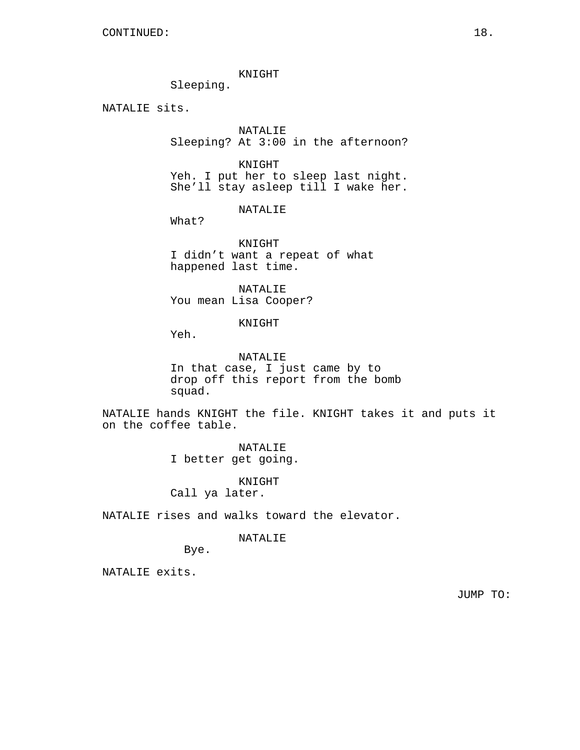KNIGHT

Sleeping.

NATALIE sits.

NATALIE Sleeping? At 3:00 in the afternoon?

KNIGHT Yeh. I put her to sleep last night. She'll stay asleep till I wake her.

NATALIE

What?

KNIGHT I didn't want a repeat of what happened last time.

NATALIE You mean Lisa Cooper?

KNIGHT

Yeh.

NATALIE In that case, I just came by to drop off this report from the bomb squad.

NATALIE hands KNIGHT the file. KNIGHT takes it and puts it on the coffee table.

> NATALIE I better get going.

> > KNIGHT

Call ya later.

NATALIE rises and walks toward the elevator.

NATALIE

Bye.

NATALIE exits.

JUMP TO: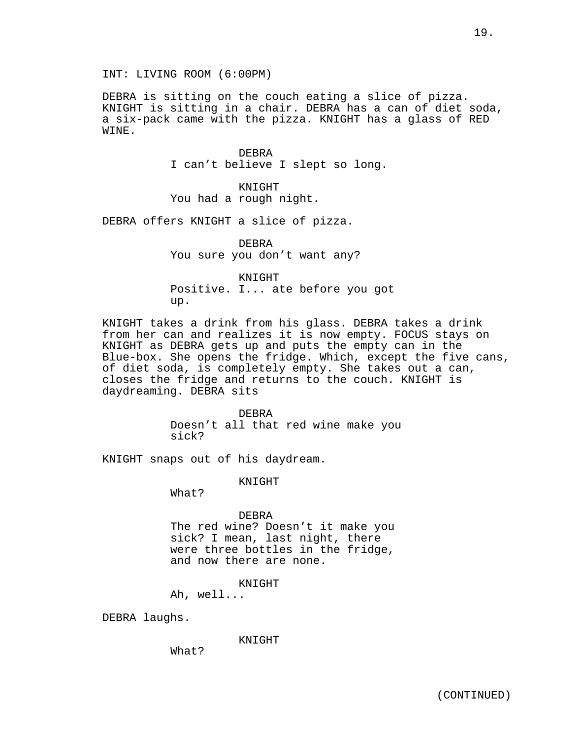INT: LIVING ROOM (6:00PM)

DEBRA is sitting on the couch eating a slice of pizza. KNIGHT is sitting in a chair. DEBRA has a can of diet soda, a six-pack came with the pizza. KNIGHT has a glass of RED WINE.

> DEBRA I can't believe I slept so long.

KNIGHT You had a rough night.

DEBRA offers KNIGHT a slice of pizza.

DEBRA You sure you don't want any?

KNIGHT Positive. I... ate before you got up.

KNIGHT takes a drink from his glass. DEBRA takes a drink from her can and realizes it is now empty. FOCUS stays on KNIGHT as DEBRA gets up and puts the empty can in the Blue-box. She opens the fridge. Which, except the five cans, of diet soda, is completely empty. She takes out a can, closes the fridge and returns to the couch. KNIGHT is daydreaming. DEBRA sits

> DEBRA Doesn't all that red wine make you sick?

KNIGHT snaps out of his daydream.

KNIGHT

What?

DEBRA

The red wine? Doesn't it make you sick? I mean, last night, there were three bottles in the fridge, and now there are none.

KNIGHT

Ah, well...

DEBRA laughs.

KNIGHT

What?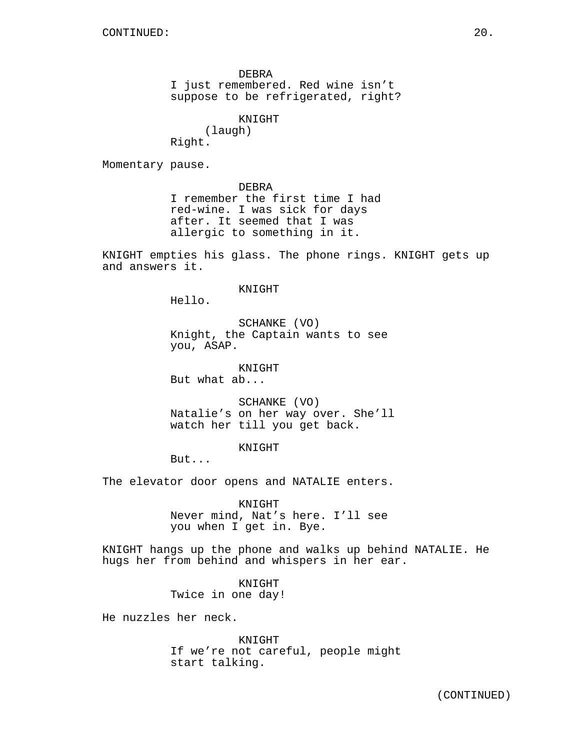DEBRA

I just remembered. Red wine isn't suppose to be refrigerated, right?

KNIGHT

(laugh)

Right.

Momentary pause.

DEBRA I remember the first time I had red-wine. I was sick for days after. It seemed that I was allergic to something in it.

KNIGHT empties his glass. The phone rings. KNIGHT gets up and answers it.

### KNIGHT

Hello.

SCHANKE (VO) Knight, the Captain wants to see you, ASAP.

KNIGHT

But what ab...

SCHANKE (VO) Natalie's on her way over. She'll watch her till you get back.

KNIGHT

But...

The elevator door opens and NATALIE enters.

KNIGHT Never mind, Nat's here. I'll see you when I get in. Bye.

KNIGHT hangs up the phone and walks up behind NATALIE. He hugs her from behind and whispers in her ear.

> KNIGHT Twice in one day!

He nuzzles her neck.

KNIGHT If we're not careful, people might start talking.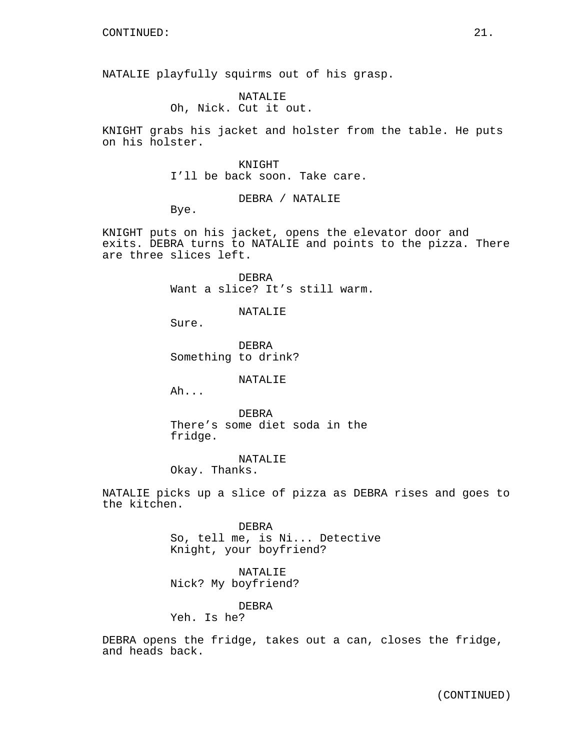NATALIE playfully squirms out of his grasp.

NATALIE Oh, Nick. Cut it out.

KNIGHT grabs his jacket and holster from the table. He puts on his holster.

## KNIGHT

I'll be back soon. Take care.

DEBRA / NATALIE

Bye.

KNIGHT puts on his jacket, opens the elevator door and exits. DEBRA turns to NATALIE and points to the pizza. There are three slices left.

> DEBRA Want a slice? It's still warm.

> > NATALIE

Sure.

DEBRA Something to drink?

# NATALIE

Ah...

DEBRA There's some diet soda in the fridge.

NATALIE Okay. Thanks.

NATALIE picks up a slice of pizza as DEBRA rises and goes to the kitchen.

> DEBRA So, tell me, is Ni... Detective Knight, your boyfriend?

NATALIE Nick? My boyfriend?

DEBRA

Yeh. Is he?

DEBRA opens the fridge, takes out a can, closes the fridge, and heads back.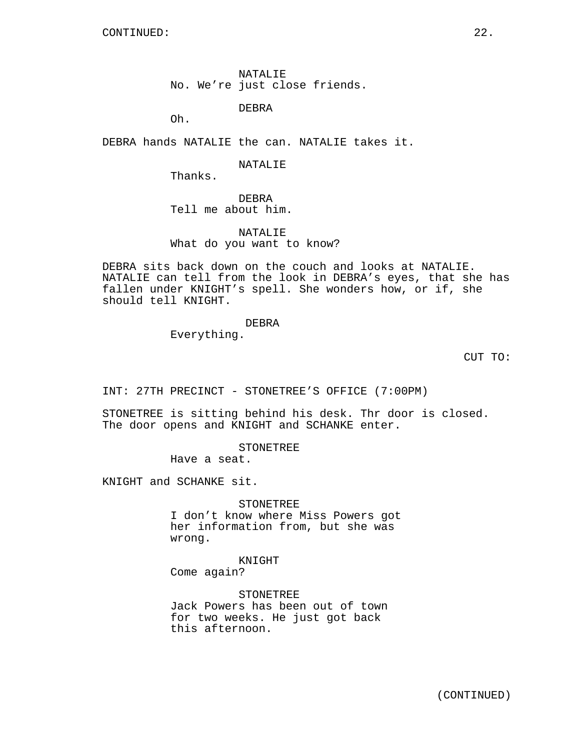NATALIE No. We're just close friends.

DEBRA

Oh.

DEBRA hands NATALIE the can. NATALIE takes it.

NATALIE

Thanks.

DEBRA Tell me about him.

NATALIE What do you want to know?

DEBRA sits back down on the couch and looks at NATALIE. NATALIE can tell from the look in DEBRA's eyes, that she has fallen under KNIGHT's spell. She wonders how, or if, she should tell KNIGHT.

# DEBRA

Everything.

CUT TO:

INT: 27TH PRECINCT - STONETREE'S OFFICE (7:00PM)

STONETREE is sitting behind his desk. Thr door is closed. The door opens and KNIGHT and SCHANKE enter.

**STONETREE** 

Have a seat.

KNIGHT and SCHANKE sit.

STONETREE

I don't know where Miss Powers got her information from, but she was wrong.

KNIGHT Come again?

STONETREE Jack Powers has been out of town for two weeks. He just got back this afternoon.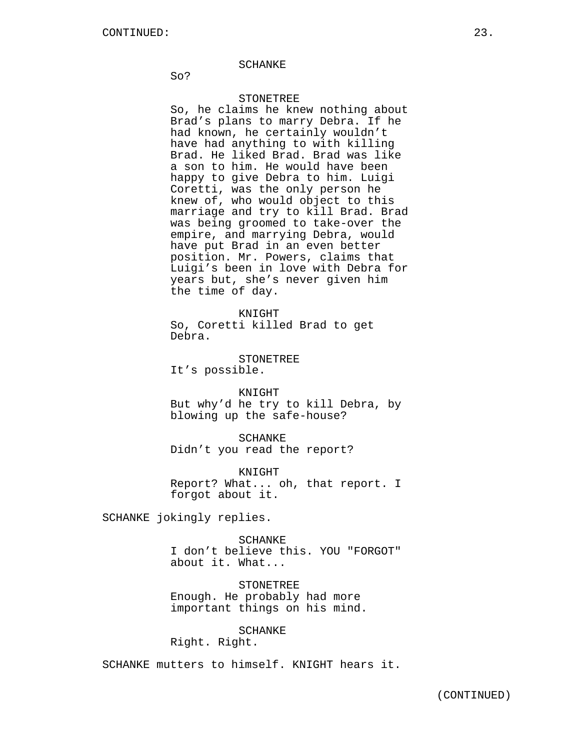#### SCHANKE

So?

# STONETREE

So, he claims he knew nothing about Brad's plans to marry Debra. If he had known, he certainly wouldn't have had anything to with killing Brad. He liked Brad. Brad was like a son to him. He would have been happy to give Debra to him. Luigi Coretti, was the only person he knew of, who would object to this marriage and try to kill Brad. Brad was being groomed to take-over the empire, and marrying Debra, would have put Brad in an even better position. Mr. Powers, claims that Luigi's been in love with Debra for years but, she's never given him the time of day.

KNIGHT So, Coretti killed Brad to get Debra.

**STONETREE** It's possible.

KNIGHT But why'd he try to kill Debra, by blowing up the safe-house?

SCHANKE Didn't you read the report?

KNIGHT Report? What... oh, that report. I forgot about it.

SCHANKE jokingly replies.

SCHANKE I don't believe this. YOU "FORGOT" about it. What...

STONETREE Enough. He probably had more important things on his mind.

# SCHANKE

Right. Right.

SCHANKE mutters to himself. KNIGHT hears it.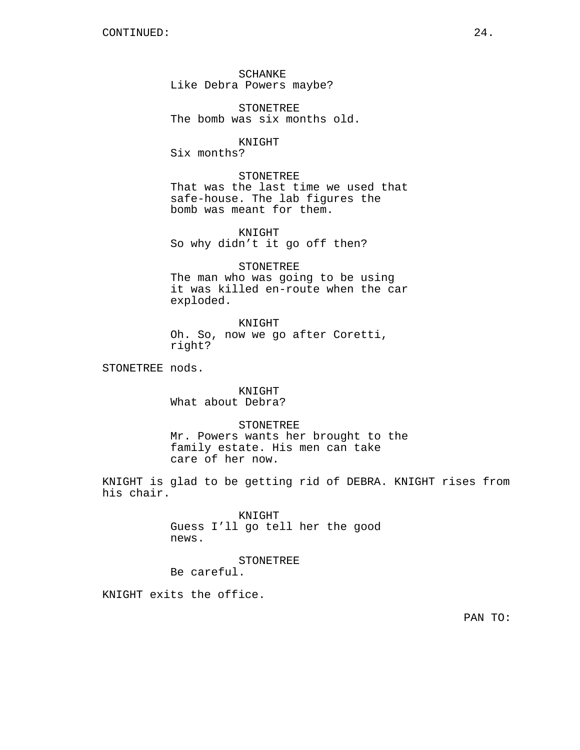SCHANKE Like Debra Powers maybe?

STONETREE The bomb was six months old.

KNIGHT Six months?

STONETREE That was the last time we used that safe-house. The lab figures the bomb was meant for them.

KNIGHT So why didn't it go off then?

STONETREE The man who was going to be using it was killed en-route when the car exploded.

KNIGHT Oh. So, now we go after Coretti, right?

STONETREE nods.

KNIGHT What about Debra?

STONETREE Mr. Powers wants her brought to the family estate. His men can take care of her now.

KNIGHT is glad to be getting rid of DEBRA. KNIGHT rises from his chair.

> KNIGHT Guess I'll go tell her the good news.

STONETREE Be careful.

KNIGHT exits the office.

PAN TO: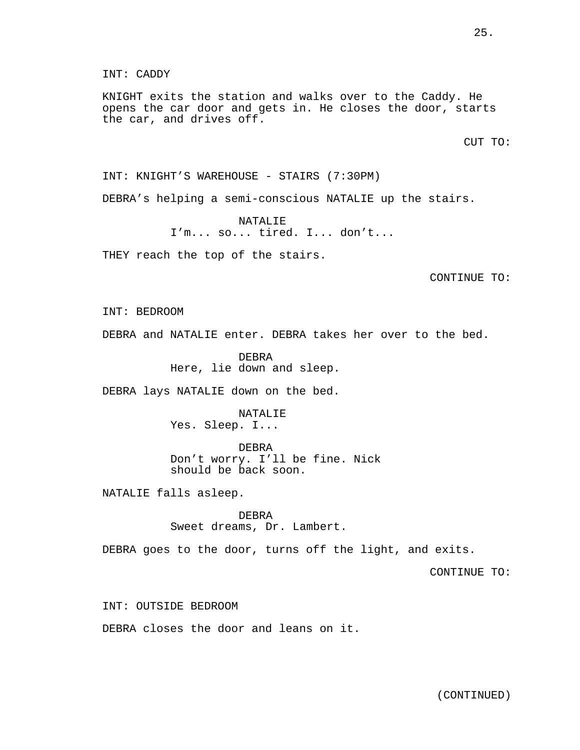# INT: CADDY

KNIGHT exits the station and walks over to the Caddy. He opens the car door and gets in. He closes the door, starts the car, and drives off.

CUT TO:

INT: KNIGHT'S WAREHOUSE - STAIRS (7:30PM)

DEBRA's helping a semi-conscious NATALIE up the stairs.

NATALIE I'm... so... tired. I... don't...

THEY reach the top of the stairs.

CONTINUE TO:

INT: BEDROOM

DEBRA and NATALIE enter. DEBRA takes her over to the bed.

DEBRA Here, lie down and sleep.

DEBRA lays NATALIE down on the bed.

NATALIE Yes. Sleep. I...

DEBRA

Don't worry. I'll be fine. Nick should be back soon.

NATALIE falls asleep.

DEBRA Sweet dreams, Dr. Lambert.

DEBRA goes to the door, turns off the light, and exits.

CONTINUE TO:

INT: OUTSIDE BEDROOM

DEBRA closes the door and leans on it.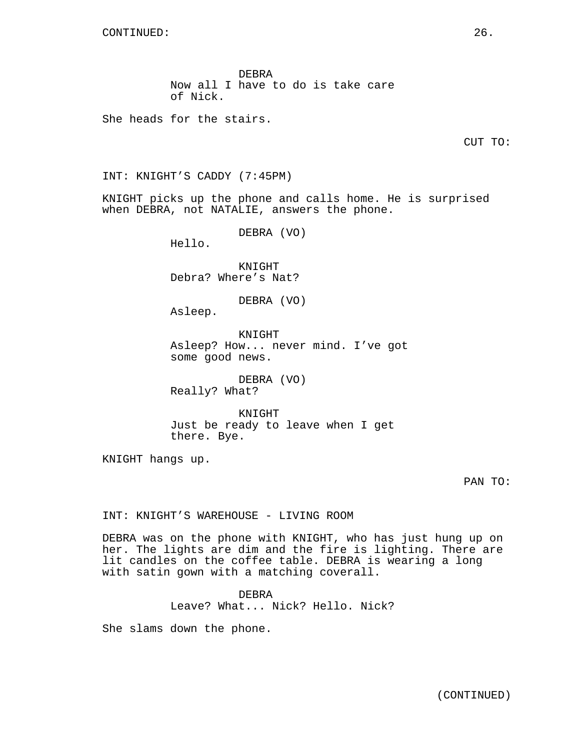DEBRA Now all I have to do is take care of Nick.

She heads for the stairs.

INT: KNIGHT'S CADDY (7:45PM)

KNIGHT picks up the phone and calls home. He is surprised when DEBRA, not NATALIE, answers the phone.

DEBRA (VO)

Hello.

KNIGHT Debra? Where's Nat?

DEBRA (VO)

Asleep.

KNIGHT Asleep? How... never mind. I've got some good news.

DEBRA (VO) Really? What?

KNIGHT Just be ready to leave when I get there. Bye.

KNIGHT hangs up.

PAN TO:

INT: KNIGHT'S WAREHOUSE - LIVING ROOM

DEBRA was on the phone with KNIGHT, who has just hung up on her. The lights are dim and the fire is lighting. There are lit candles on the coffee table. DEBRA is wearing a long with satin gown with a matching coverall.

> DEBRA Leave? What... Nick? Hello. Nick?

She slams down the phone.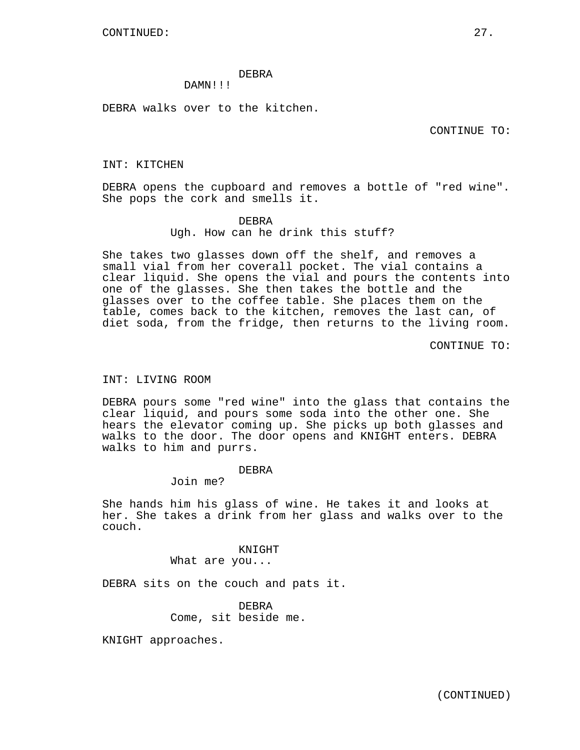## DEBRA

# DAMN!!!

DEBRA walks over to the kitchen.

CONTINUE TO:

## INT: KITCHEN

DEBRA opens the cupboard and removes a bottle of "red wine". She pops the cork and smells it.

## DEBRA

Ugh. How can he drink this stuff?

She takes two glasses down off the shelf, and removes a small vial from her coverall pocket. The vial contains a clear liquid. She opens the vial and pours the contents into one of the glasses. She then takes the bottle and the glasses over to the coffee table. She places them on the table, comes back to the kitchen, removes the last can, of diet soda, from the fridge, then returns to the living room.

CONTINUE TO:

## INT: LIVING ROOM

DEBRA pours some "red wine" into the glass that contains the clear liquid, and pours some soda into the other one. She hears the elevator coming up. She picks up both glasses and walks to the door. The door opens and KNIGHT enters. DEBRA walks to him and purrs.

## DEBRA

Join me?

She hands him his glass of wine. He takes it and looks at her. She takes a drink from her glass and walks over to the couch.

> KNIGHT What are you...

DEBRA sits on the couch and pats it.

DEBRA Come, sit beside me.

KNIGHT approaches.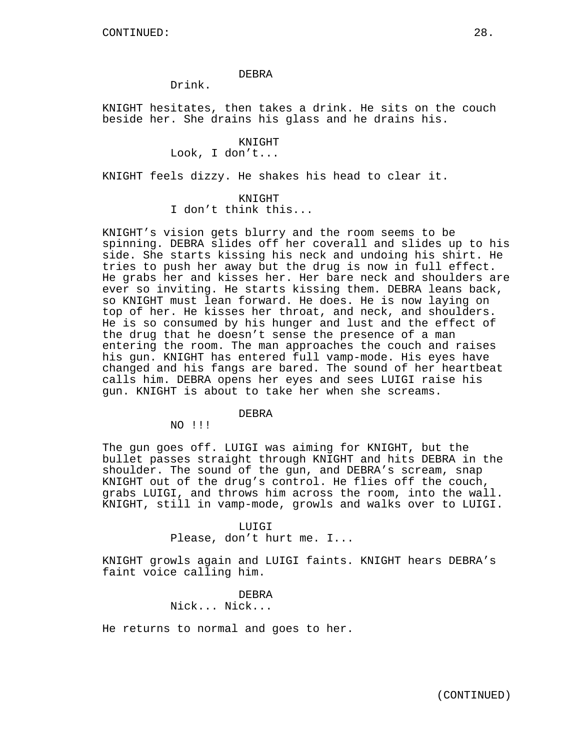## DEBRA

Drink.

KNIGHT hesitates, then takes a drink. He sits on the couch beside her. She drains his glass and he drains his.

# KNIGHT

Look, I don't...

KNIGHT feels dizzy. He shakes his head to clear it.

# KNIGHT

I don't think this...

KNIGHT's vision gets blurry and the room seems to be spinning. DEBRA slides off her coverall and slides up to his side. She starts kissing his neck and undoing his shirt. He tries to push her away but the drug is now in full effect. He grabs her and kisses her. Her bare neck and shoulders are ever so inviting. He starts kissing them. DEBRA leans back, so KNIGHT must lean forward. He does. He is now laying on top of her. He kisses her throat, and neck, and shoulders. He is so consumed by his hunger and lust and the effect of the drug that he doesn't sense the presence of a man entering the room. The man approaches the couch and raises his gun. KNIGHT has entered full vamp-mode. His eyes have changed and his fangs are bared. The sound of her heartbeat calls him. DEBRA opens her eyes and sees LUIGI raise his gun. KNIGHT is about to take her when she screams.

# DEBRA

NO !!!

The gun goes off. LUIGI was aiming for KNIGHT, but the bullet passes straight through KNIGHT and hits DEBRA in the shoulder. The sound of the gun, and DEBRA's scream, snap KNIGHT out of the drug's control. He flies off the couch, grabs LUIGI, and throws him across the room, into the wall. KNIGHT, still in vamp-mode, growls and walks over to LUIGI.

## LUIGI

Please, don't hurt me. I...

KNIGHT growls again and LUIGI faints. KNIGHT hears DEBRA's faint voice calling him.

> DEBRA Nick... Nick...

He returns to normal and goes to her.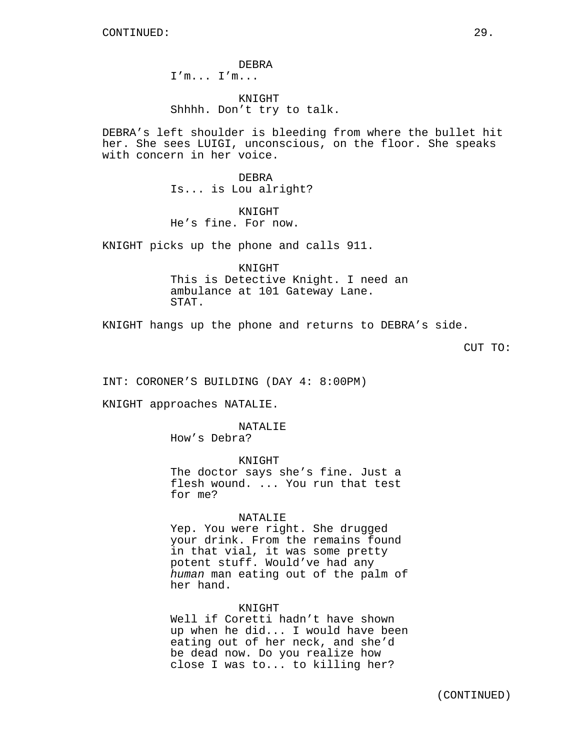DEBRA I'm... I'm...

KNIGHT Shhhh. Don't try to talk.

DEBRA's left shoulder is bleeding from where the bullet hit her. She sees LUIGI, unconscious, on the floor. She speaks with concern in her voice.

> DEBRA Is... is Lou alright?

KNIGHT He's fine. For now.

KNIGHT picks up the phone and calls 911.

KNIGHT This is Detective Knight. I need an ambulance at 101 Gateway Lane. STAT.

KNIGHT hangs up the phone and returns to DEBRA's side.

CUT TO:

INT: CORONER'S BUILDING (DAY 4: 8:00PM)

KNIGHT approaches NATALIE.

## NATALIE

How's Debra?

KNIGHT The doctor says she's fine. Just a flesh wound. ... You run that test for me?

## NATALIE

Yep. You were right. She drugged your drink. From the remains found in that vial, it was some pretty potent stuff. Would've had any human man eating out of the palm of her hand.

## KNIGHT

Well if Coretti hadn't have shown up when he did... I would have been eating out of her neck, and she'd be dead now. Do you realize how close I was to... to killing her?